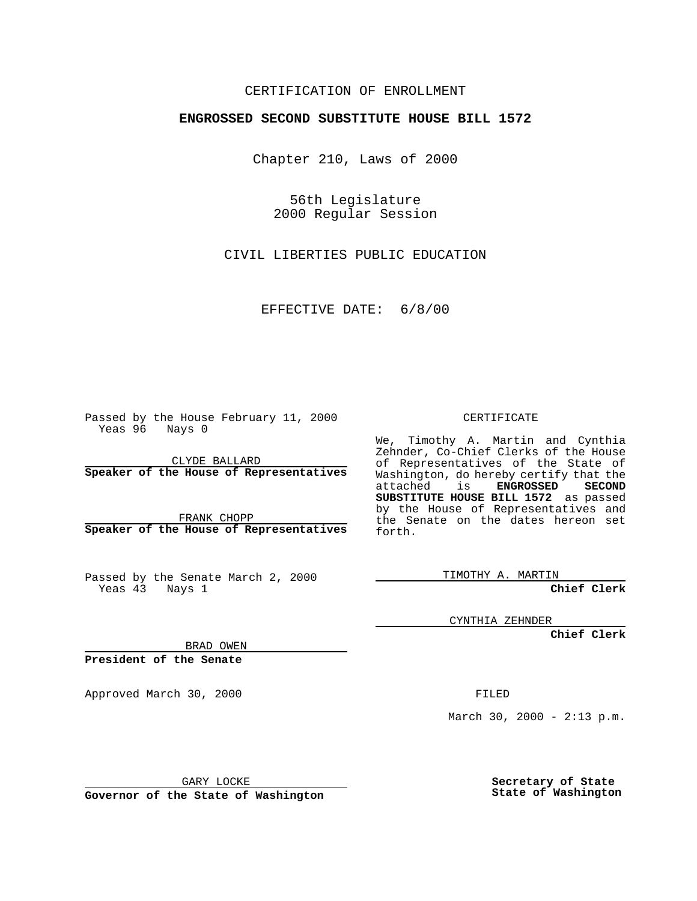## CERTIFICATION OF ENROLLMENT

## **ENGROSSED SECOND SUBSTITUTE HOUSE BILL 1572**

Chapter 210, Laws of 2000

56th Legislature 2000 Regular Session

CIVIL LIBERTIES PUBLIC EDUCATION

EFFECTIVE DATE: 6/8/00

Passed by the House February 11, 2000 Yeas 96 Nays 0

CLYDE BALLARD **Speaker of the House of Representatives**

FRANK CHOPP **Speaker of the House of Representatives**

Passed by the Senate March 2, 2000 Yeas 43 Nays 1

CERTIFICATE

We, Timothy A. Martin and Cynthia Zehnder, Co-Chief Clerks of the House of Representatives of the State of Washington, do hereby certify that the<br>attached is **ENGROSSED SECOND**  $ENGROSSED$ **SUBSTITUTE HOUSE BILL 1572** as passed by the House of Representatives and the Senate on the dates hereon set forth.

TIMOTHY A. MARTIN

**Chief Clerk**

CYNTHIA ZEHNDER

**Chief Clerk**

BRAD OWEN

**President of the Senate**

Approved March 30, 2000 FILED

March 30, 2000 -  $2:13$  p.m.

GARY LOCKE

**Governor of the State of Washington**

**Secretary of State State of Washington**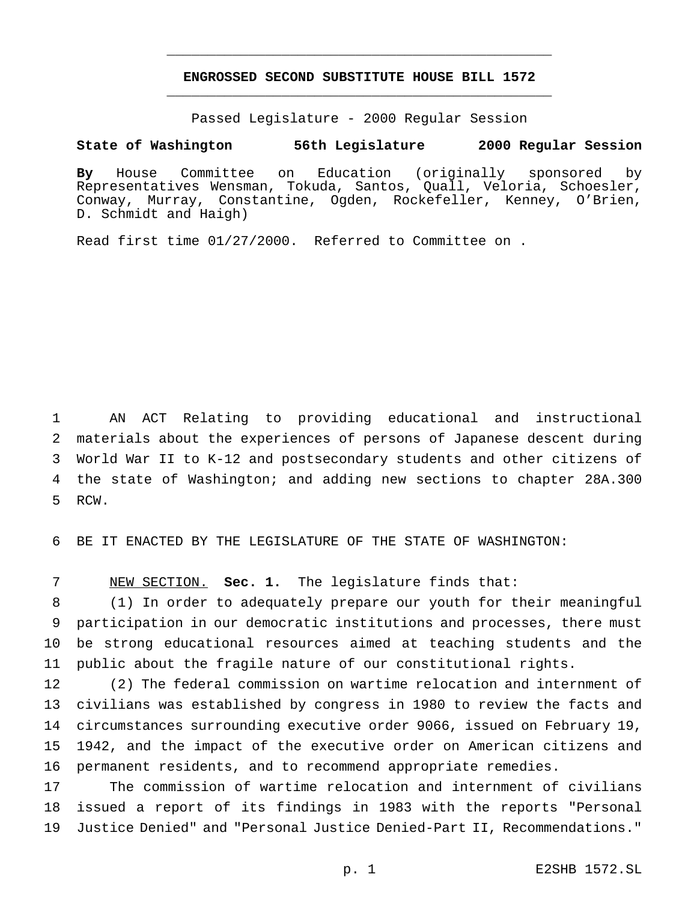## **ENGROSSED SECOND SUBSTITUTE HOUSE BILL 1572** \_\_\_\_\_\_\_\_\_\_\_\_\_\_\_\_\_\_\_\_\_\_\_\_\_\_\_\_\_\_\_\_\_\_\_\_\_\_\_\_\_\_\_\_\_\_\_

\_\_\_\_\_\_\_\_\_\_\_\_\_\_\_\_\_\_\_\_\_\_\_\_\_\_\_\_\_\_\_\_\_\_\_\_\_\_\_\_\_\_\_\_\_\_\_

Passed Legislature - 2000 Regular Session

## **State of Washington 56th Legislature 2000 Regular Session**

**By** House Committee on Education (originally sponsored by Representatives Wensman, Tokuda, Santos, Quall, Veloria, Schoesler, Conway, Murray, Constantine, Ogden, Rockefeller, Kenney, O'Brien, D. Schmidt and Haigh)

Read first time 01/27/2000. Referred to Committee on .

 AN ACT Relating to providing educational and instructional materials about the experiences of persons of Japanese descent during World War II to K-12 and postsecondary students and other citizens of the state of Washington; and adding new sections to chapter 28A.300 RCW.

BE IT ENACTED BY THE LEGISLATURE OF THE STATE OF WASHINGTON:

NEW SECTION. **Sec. 1.** The legislature finds that:

 (1) In order to adequately prepare our youth for their meaningful participation in our democratic institutions and processes, there must be strong educational resources aimed at teaching students and the public about the fragile nature of our constitutional rights.

 (2) The federal commission on wartime relocation and internment of civilians was established by congress in 1980 to review the facts and circumstances surrounding executive order 9066, issued on February 19, 1942, and the impact of the executive order on American citizens and permanent residents, and to recommend appropriate remedies.

 The commission of wartime relocation and internment of civilians issued a report of its findings in 1983 with the reports "Personal Justice Denied" and "Personal Justice Denied-Part II, Recommendations."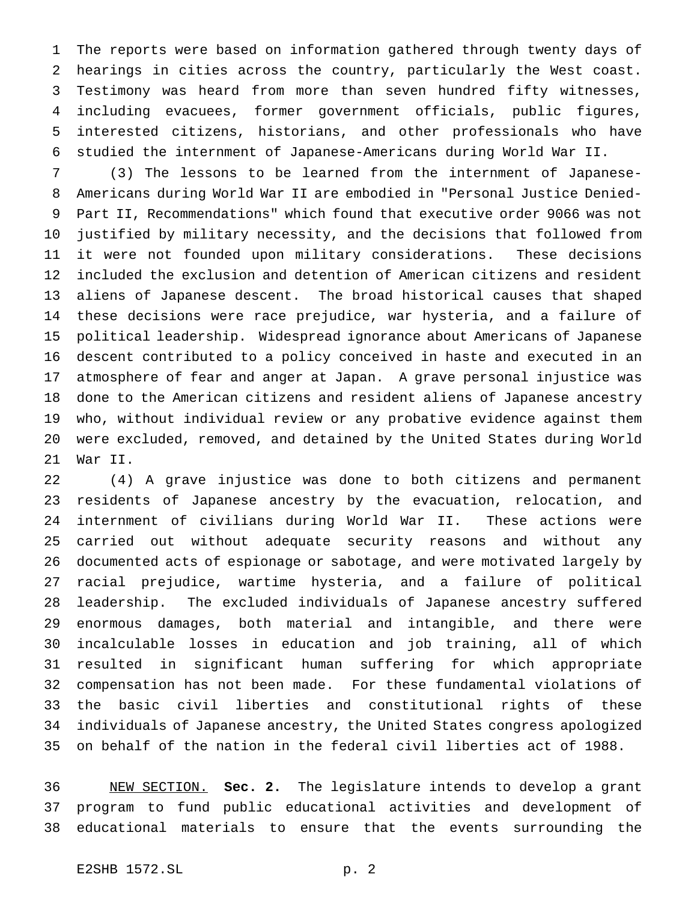The reports were based on information gathered through twenty days of hearings in cities across the country, particularly the West coast. Testimony was heard from more than seven hundred fifty witnesses, including evacuees, former government officials, public figures, interested citizens, historians, and other professionals who have studied the internment of Japanese-Americans during World War II.

 (3) The lessons to be learned from the internment of Japanese- Americans during World War II are embodied in "Personal Justice Denied- Part II, Recommendations" which found that executive order 9066 was not justified by military necessity, and the decisions that followed from it were not founded upon military considerations. These decisions included the exclusion and detention of American citizens and resident aliens of Japanese descent. The broad historical causes that shaped these decisions were race prejudice, war hysteria, and a failure of political leadership. Widespread ignorance about Americans of Japanese descent contributed to a policy conceived in haste and executed in an atmosphere of fear and anger at Japan. A grave personal injustice was done to the American citizens and resident aliens of Japanese ancestry who, without individual review or any probative evidence against them were excluded, removed, and detained by the United States during World War II.

 (4) A grave injustice was done to both citizens and permanent residents of Japanese ancestry by the evacuation, relocation, and internment of civilians during World War II. These actions were carried out without adequate security reasons and without any documented acts of espionage or sabotage, and were motivated largely by racial prejudice, wartime hysteria, and a failure of political leadership. The excluded individuals of Japanese ancestry suffered enormous damages, both material and intangible, and there were incalculable losses in education and job training, all of which resulted in significant human suffering for which appropriate compensation has not been made. For these fundamental violations of the basic civil liberties and constitutional rights of these individuals of Japanese ancestry, the United States congress apologized on behalf of the nation in the federal civil liberties act of 1988.

 NEW SECTION. **Sec. 2.** The legislature intends to develop a grant program to fund public educational activities and development of educational materials to ensure that the events surrounding the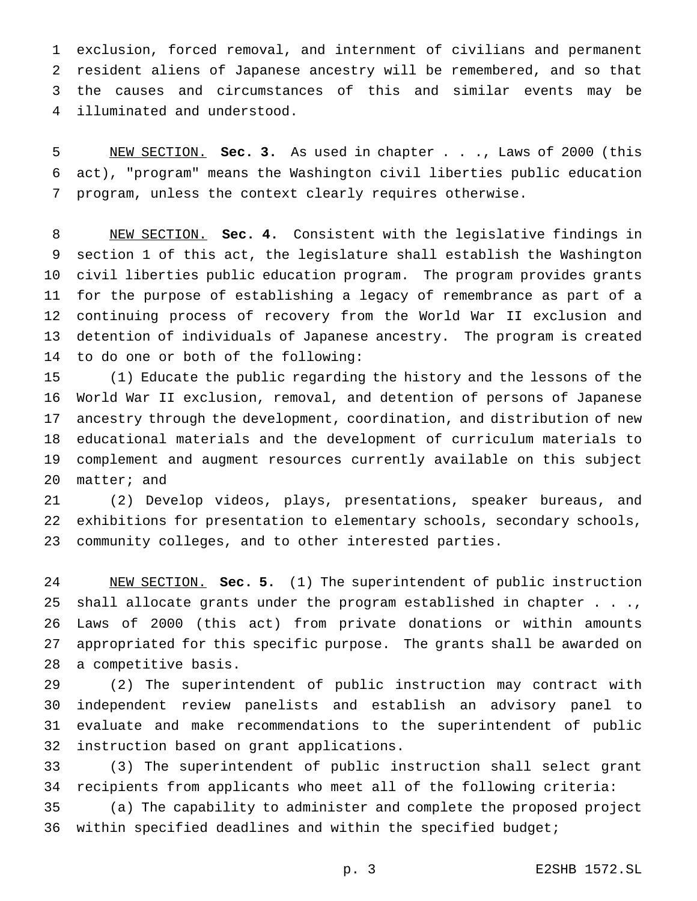exclusion, forced removal, and internment of civilians and permanent resident aliens of Japanese ancestry will be remembered, and so that the causes and circumstances of this and similar events may be illuminated and understood.

 NEW SECTION. **Sec. 3.** As used in chapter . . ., Laws of 2000 (this act), "program" means the Washington civil liberties public education program, unless the context clearly requires otherwise.

 NEW SECTION. **Sec. 4.** Consistent with the legislative findings in section 1 of this act, the legislature shall establish the Washington civil liberties public education program. The program provides grants for the purpose of establishing a legacy of remembrance as part of a continuing process of recovery from the World War II exclusion and detention of individuals of Japanese ancestry. The program is created to do one or both of the following:

 (1) Educate the public regarding the history and the lessons of the World War II exclusion, removal, and detention of persons of Japanese ancestry through the development, coordination, and distribution of new educational materials and the development of curriculum materials to complement and augment resources currently available on this subject matter; and

 (2) Develop videos, plays, presentations, speaker bureaus, and exhibitions for presentation to elementary schools, secondary schools, community colleges, and to other interested parties.

 NEW SECTION. **Sec. 5.** (1) The superintendent of public instruction shall allocate grants under the program established in chapter . . ., Laws of 2000 (this act) from private donations or within amounts appropriated for this specific purpose. The grants shall be awarded on a competitive basis.

 (2) The superintendent of public instruction may contract with independent review panelists and establish an advisory panel to evaluate and make recommendations to the superintendent of public instruction based on grant applications.

 (3) The superintendent of public instruction shall select grant recipients from applicants who meet all of the following criteria:

 (a) The capability to administer and complete the proposed project 36 within specified deadlines and within the specified budget;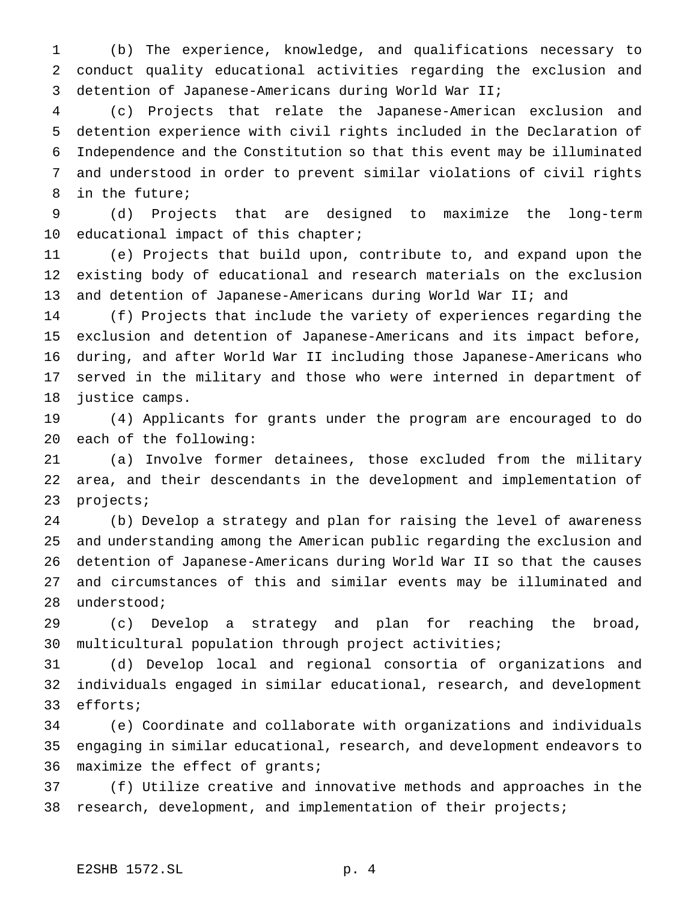(b) The experience, knowledge, and qualifications necessary to conduct quality educational activities regarding the exclusion and detention of Japanese-Americans during World War II;

 (c) Projects that relate the Japanese-American exclusion and detention experience with civil rights included in the Declaration of Independence and the Constitution so that this event may be illuminated and understood in order to prevent similar violations of civil rights in the future;

 (d) Projects that are designed to maximize the long-term educational impact of this chapter;

 (e) Projects that build upon, contribute to, and expand upon the existing body of educational and research materials on the exclusion 13 and detention of Japanese-Americans during World War II; and

 (f) Projects that include the variety of experiences regarding the exclusion and detention of Japanese-Americans and its impact before, during, and after World War II including those Japanese-Americans who served in the military and those who were interned in department of justice camps.

 (4) Applicants for grants under the program are encouraged to do each of the following:

 (a) Involve former detainees, those excluded from the military area, and their descendants in the development and implementation of projects;

 (b) Develop a strategy and plan for raising the level of awareness and understanding among the American public regarding the exclusion and detention of Japanese-Americans during World War II so that the causes and circumstances of this and similar events may be illuminated and understood;

 (c) Develop a strategy and plan for reaching the broad, multicultural population through project activities;

 (d) Develop local and regional consortia of organizations and individuals engaged in similar educational, research, and development efforts;

 (e) Coordinate and collaborate with organizations and individuals engaging in similar educational, research, and development endeavors to maximize the effect of grants;

 (f) Utilize creative and innovative methods and approaches in the research, development, and implementation of their projects;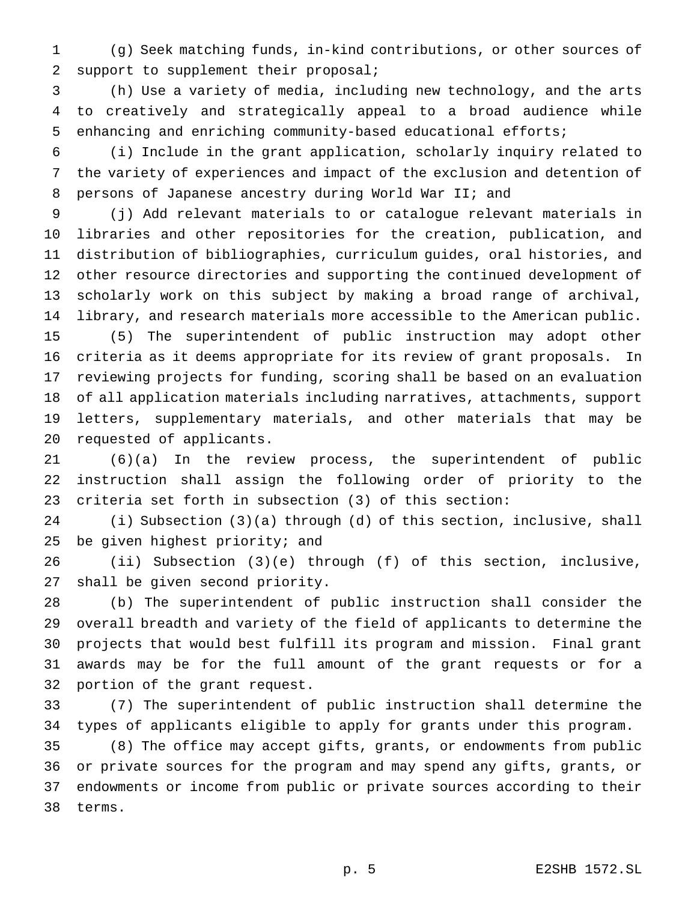(g) Seek matching funds, in-kind contributions, or other sources of support to supplement their proposal;

 (h) Use a variety of media, including new technology, and the arts to creatively and strategically appeal to a broad audience while enhancing and enriching community-based educational efforts;

 (i) Include in the grant application, scholarly inquiry related to the variety of experiences and impact of the exclusion and detention of persons of Japanese ancestry during World War II; and

 (j) Add relevant materials to or catalogue relevant materials in libraries and other repositories for the creation, publication, and distribution of bibliographies, curriculum guides, oral histories, and other resource directories and supporting the continued development of scholarly work on this subject by making a broad range of archival, library, and research materials more accessible to the American public. (5) The superintendent of public instruction may adopt other criteria as it deems appropriate for its review of grant proposals. In reviewing projects for funding, scoring shall be based on an evaluation of all application materials including narratives, attachments, support letters, supplementary materials, and other materials that may be requested of applicants.

 (6)(a) In the review process, the superintendent of public instruction shall assign the following order of priority to the criteria set forth in subsection (3) of this section:

 (i) Subsection (3)(a) through (d) of this section, inclusive, shall be given highest priority; and

 (ii) Subsection (3)(e) through (f) of this section, inclusive, shall be given second priority.

 (b) The superintendent of public instruction shall consider the overall breadth and variety of the field of applicants to determine the projects that would best fulfill its program and mission. Final grant awards may be for the full amount of the grant requests or for a portion of the grant request.

 (7) The superintendent of public instruction shall determine the types of applicants eligible to apply for grants under this program.

 (8) The office may accept gifts, grants, or endowments from public or private sources for the program and may spend any gifts, grants, or endowments or income from public or private sources according to their terms.